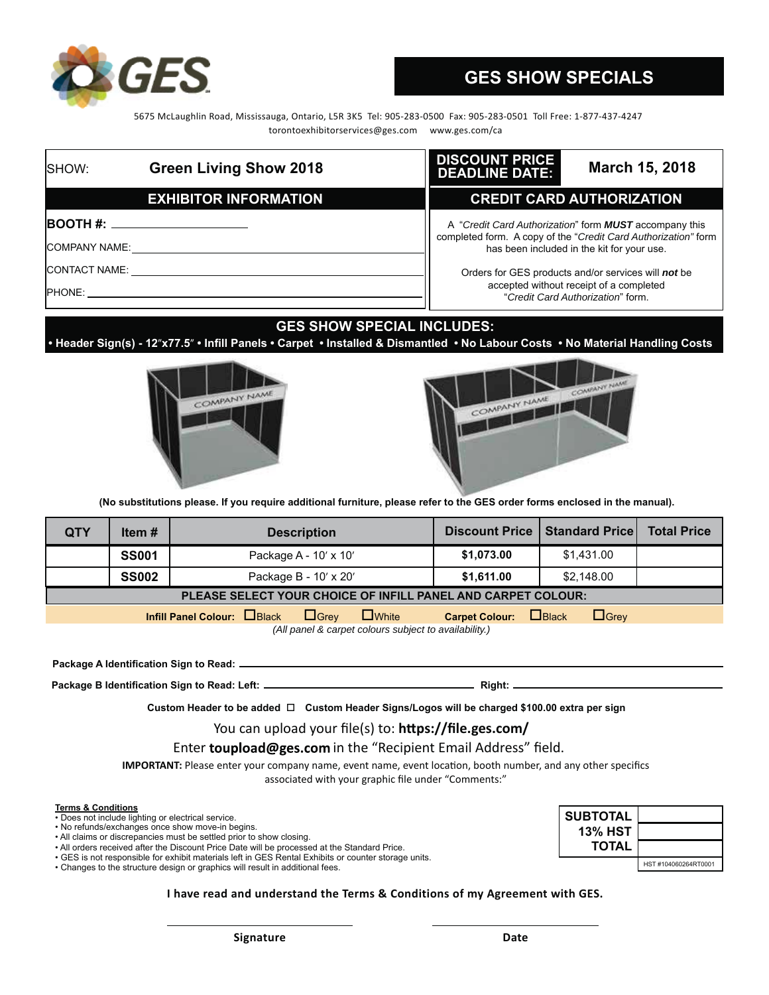

# **GES SHOW SPECIALS**

 5675 McLaughlin Road, Mississauga, Ontario, L5R 3K5 Tel: 905-283-0500 Fax: 905-283-0501 Toll Free: 1-877-437-4247 torontoexhibitorservices@ges.com www.ges.com/ca

| <b>ISHOW:</b>        | <b>Green Living Show 2018</b>         | <b>DISCOUNT PRICE</b><br>March 15, 2018<br><b>DEADLINE DATE:</b>                                                                |
|----------------------|---------------------------------------|---------------------------------------------------------------------------------------------------------------------------------|
|                      | <b>EXHIBITOR INFORMATION</b>          | <b>CREDIT CARD AUTHORIZATION</b>                                                                                                |
|                      | <b>BOOTH #:</b> _____________________ | A "Credit Card Authorization" form <b>MUST</b> accompany this<br>completed form. A copy of the "Credit Card Authorization" form |
| <b>COMPANY NAME:</b> |                                       | has been included in the kit for your use.                                                                                      |
| <b>CONTACT NAME:</b> |                                       | Orders for GES products and/or services will not be                                                                             |
| <b>PHONE:</b>        |                                       | accepted without receipt of a completed<br>"Credit Card Authorization" form.                                                    |

### **GES SHOW SPECIAL INCLUDES:**

**Header Sign(s) - 12"x77.5" • Infill Panels • Carpet • Installed & Dismantled • No Labour Costs • No Material Handling Costs** 





(No substitutions please. If you require additional furniture, please refer to the GES order forms enclosed in the manual).

| <b>QTY</b>                                                   | Item#        | <b>Description</b>         |  |             | Discount Price   Standard Price |                      |            | <b>Total Price</b> |  |
|--------------------------------------------------------------|--------------|----------------------------|--|-------------|---------------------------------|----------------------|------------|--------------------|--|
|                                                              | <b>SS001</b> | Package A - 10' x 10'      |  |             | \$1,073.00                      |                      | \$1,431.00 |                    |  |
|                                                              | <b>SS002</b> | Package B - 10' x 20'      |  |             | \$1,611.00                      |                      | \$2,148,00 |                    |  |
| PLEASE SELECT YOUR CHOICE OF INFILL PANEL AND CARPET COLOUR: |              |                            |  |             |                                 |                      |            |                    |  |
|                                                              |              | Infill Panel Colour: Black |  | $\Box$ Grev | $\Box$ White                    | Carpet Colour: Black |            | $\Box$ Grey        |  |

*(All panel & carpet colours subject to availability.)*

Package A Identification Sign to Read: \_\_

**3DFNDJH%,GHQWL¿FDWLRQ6LJQWR5HDG/HIW5LJKW**

Custom Header to be added  $\Box$  Custom Header Signs/Logos will be charged \$100.00 extra per sign

You can upload your file(s) to: https://file.ges.com/

Enter toupload@ges.com in the "Recipient Email Address" field.

**IMPORTANT:** Please enter your company name, event name, event location, booth number, and any other specifics associated with your graphic file under "Comments:"

#### **Terms & Conditions**

- Does not include lighting or electrical service.
- No refunds/exchanges once show move-in begins.
- All claims or discrepancies must be settled prior to show closing.
- All orders received after the Discount Price Date will be processed at the Standard Price.
- GES is not responsible for exhibit materials left in GES Rental Exhibits or counter storage units.

• Changes to the structure design or graphics will result in additional fees.



**I have read and understand the Terms & Conditions of my Agreement with GES.**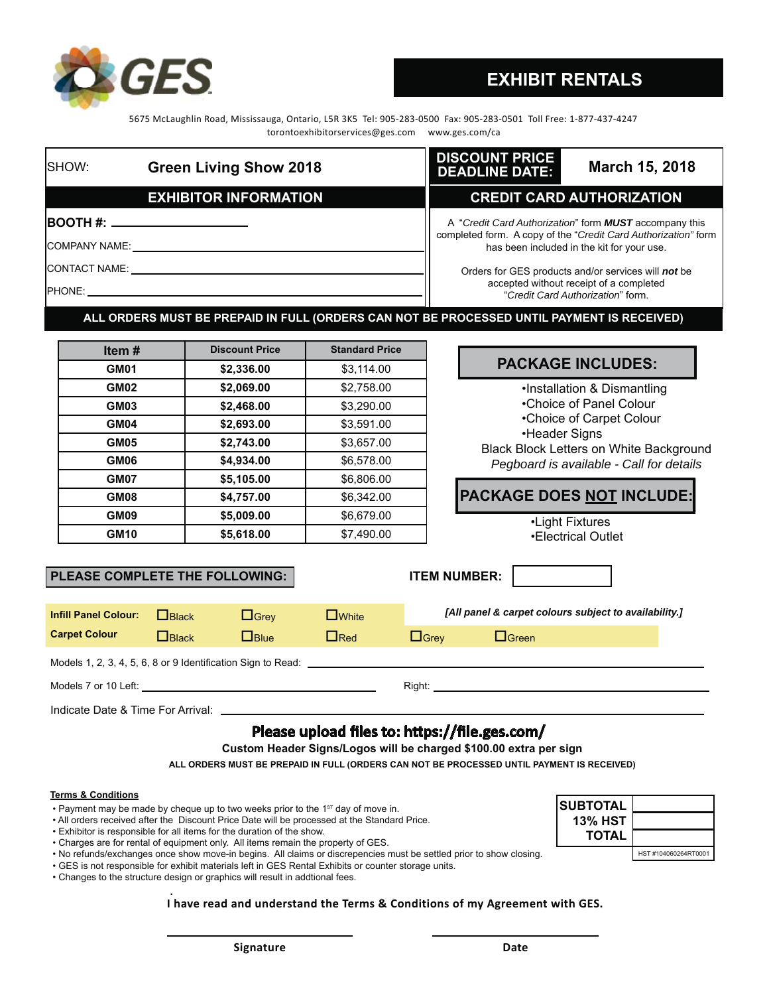

### **EXHIBIT RENTALS**

5675 McLaughlin Road, Mississauga, Ontario, L5R 3K5 Tel: 905-283-0500 Fax: 905-283-0501 Toll Free: 1-877-437-4247 torontoexhibitorservices@ges.com www.ges.com/ca

| <b>ISHOW:</b><br><b>Green Living Show 2018</b>          | <b>DISCOUNT PRICE</b><br><b>DEADLINE DATE:</b> | March 15, 2018                                                                                                                  |  |
|---------------------------------------------------------|------------------------------------------------|---------------------------------------------------------------------------------------------------------------------------------|--|
| <b>EXHIBITOR INFORMATION</b>                            |                                                | <b>CREDIT CARD AUTHORIZATION</b>                                                                                                |  |
| <b>BOOTH #: ______________________</b><br>COMPANY NAME: |                                                | A "Credit Card Authorization" form <b>MUST</b> accompany this<br>completed form. A copy of the "Credit Card Authorization" form |  |
|                                                         |                                                | has been included in the kit for your use.                                                                                      |  |
| CONTACT NAME:                                           |                                                | Orders for GES products and/or services will not be                                                                             |  |
| <b>IPHONF</b>                                           |                                                | accepted without receipt of a completed<br>"Credit Card Authorization" form.                                                    |  |

**ALL ORDERS MUST BE PREPAID IN FULL (ORDERS CAN NOT BE PROCESSED UNTIL PAYMENT IS RECEIVED)**

| Item $#$    | <b>Discount Price</b> | <b>Standard Price</b> |
|-------------|-----------------------|-----------------------|
| GM01        | \$2,336.00            | \$3,114.00            |
| <b>GM02</b> | \$2,069.00            | \$2,758.00            |
| GM03        | \$2,468.00            | \$3,290.00            |
| GM04        | \$2,693.00            | \$3,591.00            |
| <b>GM05</b> | \$2,743.00            | \$3,657.00            |
| GM06        | \$4,934.00            | \$6,578.00            |
| GM07        | \$5,105.00            | \$6,806.00            |
| GM08        | \$4,757.00            | \$6,342.00            |
| GM09        | \$5,009.00            | \$6,679.00            |
| <b>GM10</b> | \$5,618.00            | \$7.490.00            |

# **PACKAGE INCLUDES:**

•Installation & Dismantling •Choice of Panel Colour •Choice of Carpet Colour •Header Signs Black Block Letters on White Background *Pegboard is available - Call for details*

### **PACKAGE DOES NOT INCLUDE:**

•Light Fixtures •Electrical Outlet

j

### PLEASE COMPLETE THE FOLLOWING: **ITEM NUMBER:**

| <b>Infill Panel Colour:</b>                                  | $\Box$ Black | $\Box$ Grev | $\Box$ White |             | [All panel & carpet colours subject to availability.] |  |  |  |
|--------------------------------------------------------------|--------------|-------------|--------------|-------------|-------------------------------------------------------|--|--|--|
| <b>Carpet Colour</b>                                         | $\Box$ Black | $\Box$ Blue | $\Box$ Red   | $\Box$ Grev | $\Box$ Green                                          |  |  |  |
| Models 1, 2, 3, 4, 5, 6, 8 or 9 Identification Sign to Read: |              |             |              |             |                                                       |  |  |  |
| Models 7 or 10 Left:                                         |              |             |              | Right:      |                                                       |  |  |  |

|  | Indicate Date & Time For Arrival: |
|--|-----------------------------------|
|--|-----------------------------------|

### Please upload files to: https://file.ges.com/

Custom Header Signs/Logos will be charged \$100.00 extra per sign

**ALL ORDERS MUST BE PREPAID IN FULL (ORDERS CAN NOT BE PROCESSED UNTIL PAYMENT IS RECEIVED)**

#### **Terms & Conditions**

- Payment may be made by cheque up to two weeks prior to the 1<sup>st</sup> day of move in.
- All orders received after the Discount Price Date will be processed at the Standard Price.
- Exhibitor is responsible for all items for the duration of the show.
- Charges are for rental of equipment only. All items remain the property of GES.
- No refunds/exchanges once show move-in begins. All claims or discrepencies must be settled prior to show closing.
- GES is not responsible for exhibit materials left in GES Rental Exhibits or counter storage units.
- Changes to the structure design or graphics will result in addtional fees.  **.**

### **I have read and understand the Terms & Conditions of my Agreement with GES.**

| <b>SUBTOTAL</b> |                      |
|-----------------|----------------------|
| <b>13% HST</b>  |                      |
| <b>TOTAL</b>    |                      |
|                 | HST #104060264RT0001 |